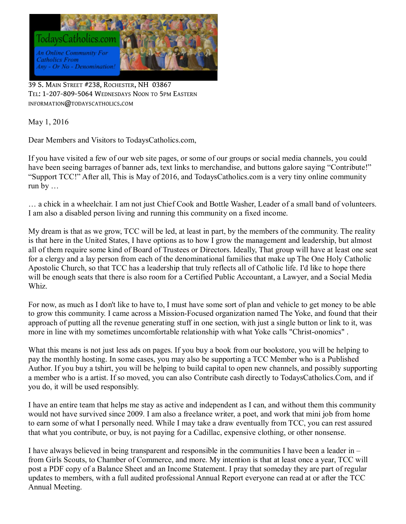

39 S. MAIN STREET #238, ROCHESTER, NH 03867 TEL: 1-207-809-5064 WEDNESDAYS NOON TO 5PM EASTERN INFORMATION@TODAYSCATHOLICS.COM

May 1, 2016

Dear Members and Visitors to TodaysCatholics.com,

If you have visited a few of our web site pages, or some of our groups or social media channels, you could have been seeing barrages of banner ads, text links to merchandise, and buttons galore saying "Contribute!" "Support TCC!" After all, This is May of 2016, and TodaysCatholics.com is a very tiny online community run by …

… a chick in a wheelchair. I am not just Chief Cook and Bottle Washer, Leader of a small band of volunteers. I am also a disabled person living and running this community on a fixed income.

My dream is that as we grow, TCC will be led, at least in part, by the members of the community. The reality is that here in the United States, I have options as to how I grow the management and leadership, but almost all of them require some kind of Board of Trustees or Directors. Ideally, That group will have at least one seat for a clergy and a lay person from each of the denominational families that make up The One Holy Catholic Apostolic Church, so that TCC has a leadership that truly reflects all of Catholic life. I'd like to hope there will be enough seats that there is also room for a Certified Public Accountant, a Lawyer, and a Social Media Whiz.

For now, as much as I don't like to have to, I must have some sort of plan and vehicle to get money to be able to grow this community. I came across a Mission-Focused organization named The Yoke, and found that their approach of putting all the revenue generating stuff in one section, with just a single button or link to it, was more in line with my sometimes uncomfortable relationship with what Yoke calls "Christ-onomics" .

What this means is not just less ads on pages. If you buy a book from our bookstore, you will be helping to pay the monthly hosting. In some cases, you may also be supporting a TCC Member who is a Published Author. If you buy a tshirt, you will be helping to build capital to open new channels, and possibly supporting a member who is a artist. If so moved, you can also Contribute cash directly to TodaysCatholics.Com, and if you do, it will be used responsibly.

I have an entire team that helps me stay as active and independent as I can, and without them this community would not have survived since 2009. I am also a freelance writer, a poet, and work that mini job from home to earn some of what I personally need. While I may take a draw eventually from TCC, you can rest assured that what you contribute, or buy, is not paying for a Cadillac, expensive clothing, or other nonsense.

I have always believed in being transparent and responsible in the communities I have been a leader in – from Girls Scouts, to Chamber of Commerce, and more. My intention is that at least once a year, TCC will post a PDF copy of a Balance Sheet and an Income Statement. I pray that someday they are part of regular updates to members, with a full audited professional Annual Report everyone can read at or after the TCC Annual Meeting.